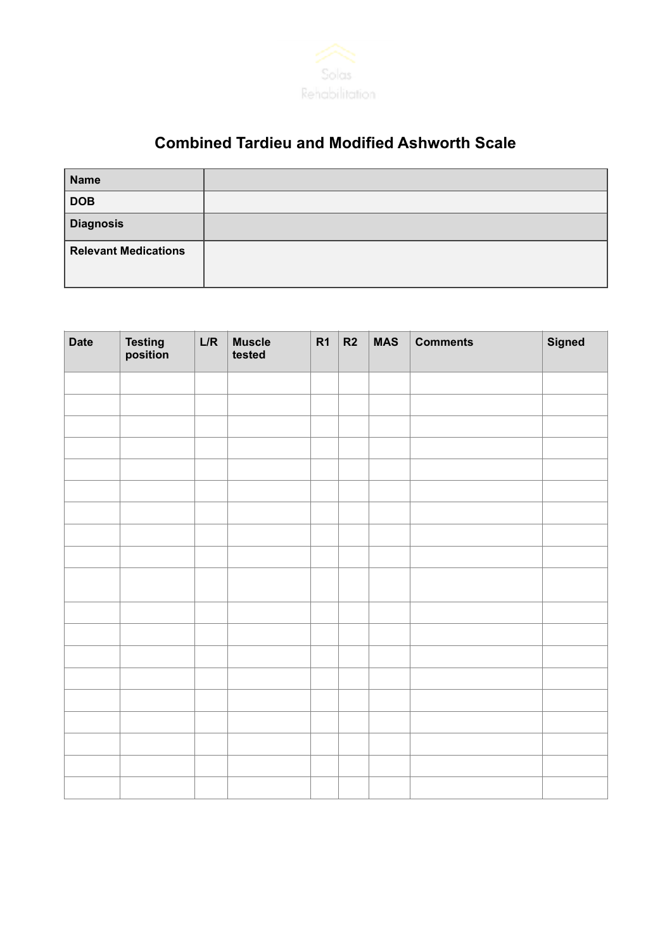

## **Combined Tardieu and Modified Ashworth Scale**

| Name                        |  |
|-----------------------------|--|
| <b>DOB</b>                  |  |
| <b>Diagnosis</b>            |  |
| <b>Relevant Medications</b> |  |

| <b>Date</b> | <b>Testing<br/>position</b> | L/R | Muscle<br>tested | R1 | R2 | <b>MAS</b> | <b>Comments</b> | <b>Signed</b> |
|-------------|-----------------------------|-----|------------------|----|----|------------|-----------------|---------------|
|             |                             |     |                  |    |    |            |                 |               |
|             |                             |     |                  |    |    |            |                 |               |
|             |                             |     |                  |    |    |            |                 |               |
|             |                             |     |                  |    |    |            |                 |               |
|             |                             |     |                  |    |    |            |                 |               |
|             |                             |     |                  |    |    |            |                 |               |
|             |                             |     |                  |    |    |            |                 |               |
|             |                             |     |                  |    |    |            |                 |               |
|             |                             |     |                  |    |    |            |                 |               |
|             |                             |     |                  |    |    |            |                 |               |
|             |                             |     |                  |    |    |            |                 |               |
|             |                             |     |                  |    |    |            |                 |               |
|             |                             |     |                  |    |    |            |                 |               |
|             |                             |     |                  |    |    |            |                 |               |
|             |                             |     |                  |    |    |            |                 |               |
|             |                             |     |                  |    |    |            |                 |               |
|             |                             |     |                  |    |    |            |                 |               |
|             |                             |     |                  |    |    |            |                 |               |
|             |                             |     |                  |    |    |            |                 |               |